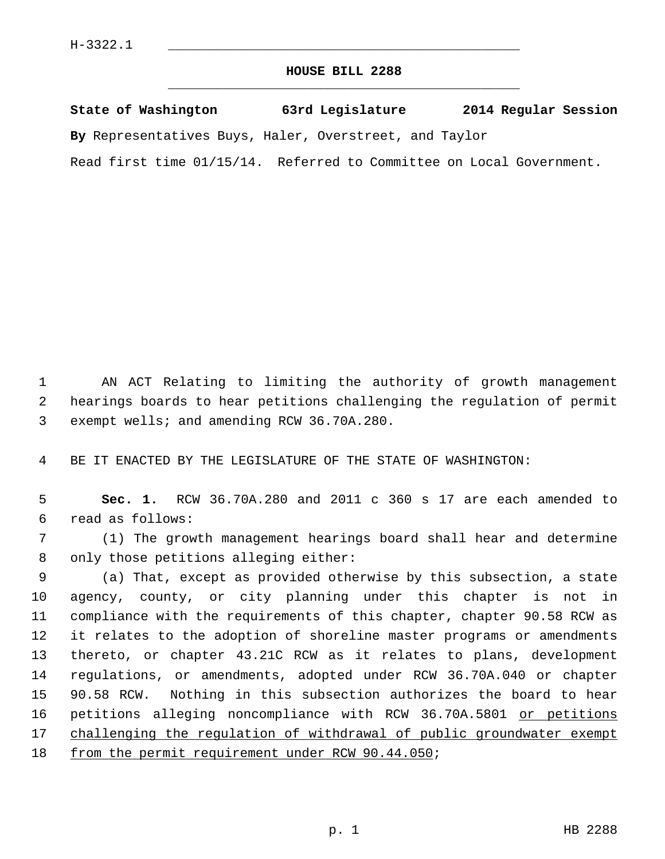## **HOUSE BILL 2288** \_\_\_\_\_\_\_\_\_\_\_\_\_\_\_\_\_\_\_\_\_\_\_\_\_\_\_\_\_\_\_\_\_\_\_\_\_\_\_\_\_\_\_\_\_

**State of Washington 63rd Legislature 2014 Regular Session**

**By** Representatives Buys, Haler, Overstreet, and Taylor

Read first time 01/15/14. Referred to Committee on Local Government.

 1 AN ACT Relating to limiting the authority of growth management 2 hearings boards to hear petitions challenging the regulation of permit 3 exempt wells; and amending RCW 36.70A.280.

4 BE IT ENACTED BY THE LEGISLATURE OF THE STATE OF WASHINGTON:

 5 **Sec. 1.** RCW 36.70A.280 and 2011 c 360 s 17 are each amended to 6 read as follows:

 7 (1) The growth management hearings board shall hear and determine 8 only those petitions alleging either:

 9 (a) That, except as provided otherwise by this subsection, a state 10 agency, county, or city planning under this chapter is not in 11 compliance with the requirements of this chapter, chapter 90.58 RCW as 12 it relates to the adoption of shoreline master programs or amendments 13 thereto, or chapter 43.21C RCW as it relates to plans, development 14 regulations, or amendments, adopted under RCW 36.70A.040 or chapter 15 90.58 RCW. Nothing in this subsection authorizes the board to hear 16 petitions alleging noncompliance with RCW 36.70A.5801 or petitions 17 challenging the regulation of withdrawal of public groundwater exempt 18 from the permit requirement under RCW 90.44.050;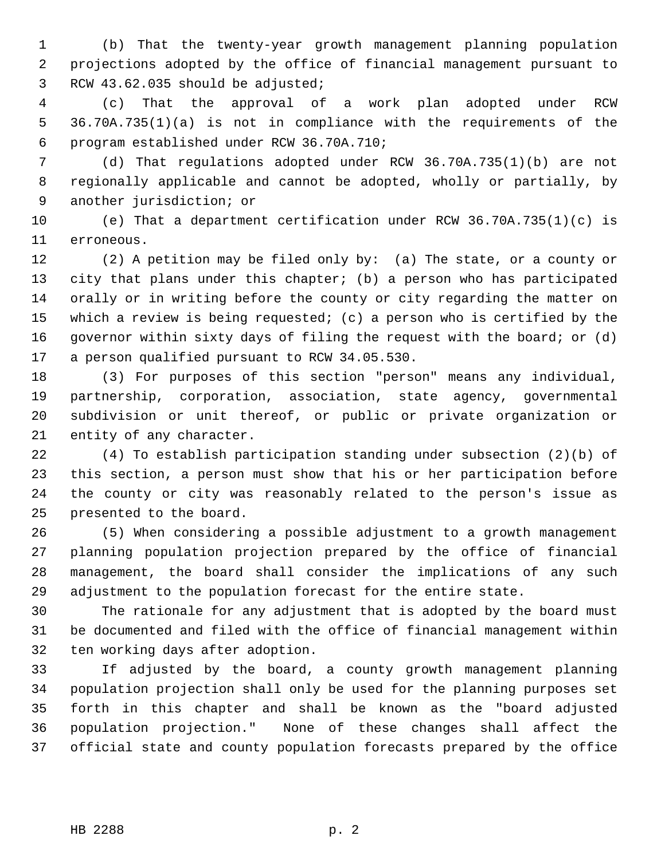1 (b) That the twenty-year growth management planning population 2 projections adopted by the office of financial management pursuant to 3 RCW 43.62.035 should be adjusted;

 4 (c) That the approval of a work plan adopted under RCW 5 36.70A.735(1)(a) is not in compliance with the requirements of the 6 program established under RCW 36.70A.710;

 7 (d) That regulations adopted under RCW 36.70A.735(1)(b) are not 8 regionally applicable and cannot be adopted, wholly or partially, by 9 another jurisdiction; or

10 (e) That a department certification under RCW 36.70A.735(1)(c) is 11 erroneous.

12 (2) A petition may be filed only by: (a) The state, or a county or 13 city that plans under this chapter; (b) a person who has participated 14 orally or in writing before the county or city regarding the matter on 15 which a review is being requested; (c) a person who is certified by the 16 governor within sixty days of filing the request with the board; or (d) 17 a person qualified pursuant to RCW 34.05.530.

18 (3) For purposes of this section "person" means any individual, 19 partnership, corporation, association, state agency, governmental 20 subdivision or unit thereof, or public or private organization or 21 entity of any character.

22 (4) To establish participation standing under subsection (2)(b) of 23 this section, a person must show that his or her participation before 24 the county or city was reasonably related to the person's issue as 25 presented to the board.

26 (5) When considering a possible adjustment to a growth management 27 planning population projection prepared by the office of financial 28 management, the board shall consider the implications of any such 29 adjustment to the population forecast for the entire state.

30 The rationale for any adjustment that is adopted by the board must 31 be documented and filed with the office of financial management within 32 ten working days after adoption.

33 If adjusted by the board, a county growth management planning 34 population projection shall only be used for the planning purposes set 35 forth in this chapter and shall be known as the "board adjusted 36 population projection." None of these changes shall affect the 37 official state and county population forecasts prepared by the office